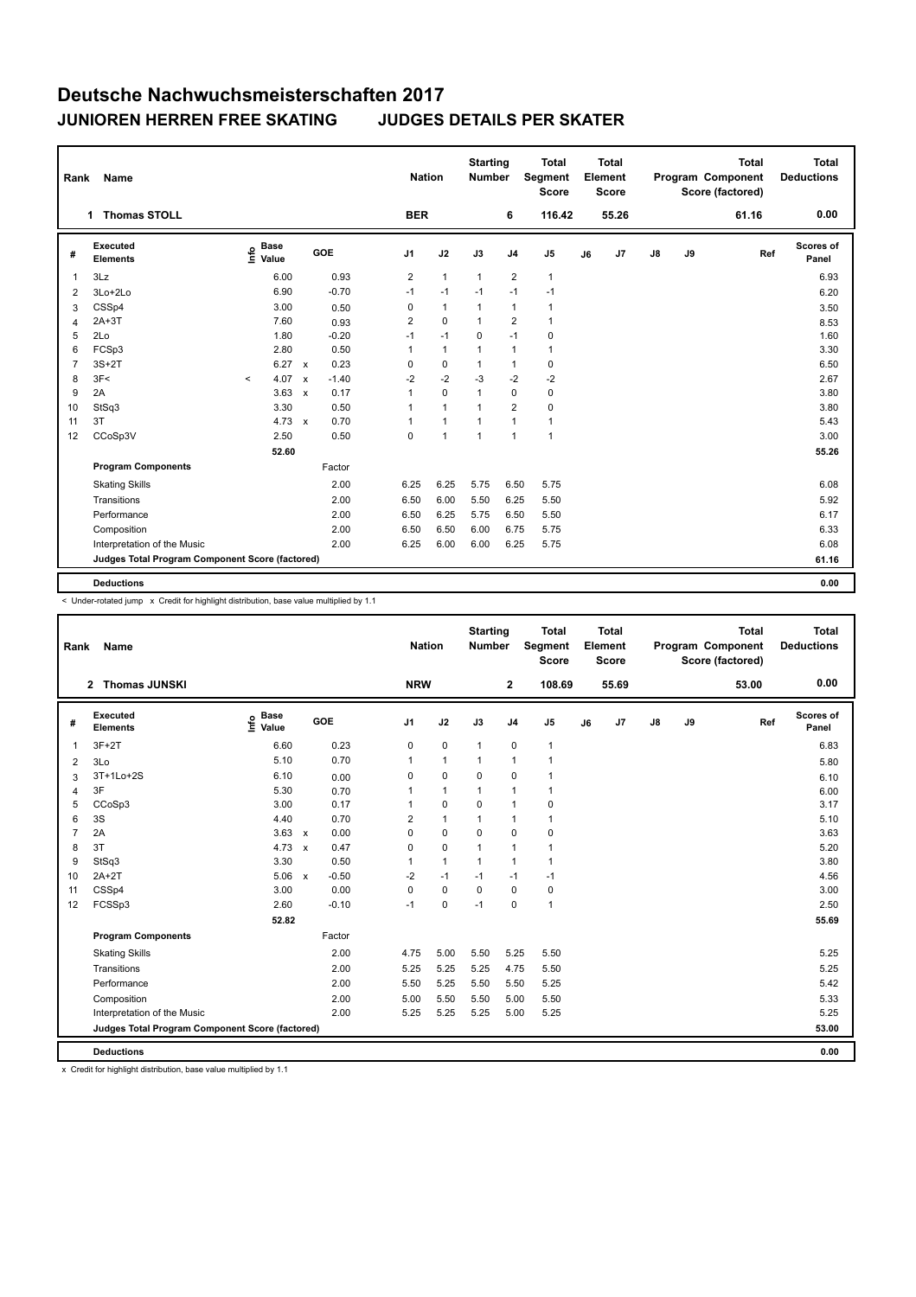| Rank           | Name                                            |                                  |                         | <b>Nation</b>  |              | <b>Starting</b><br><b>Number</b> |                | <b>Total</b><br>Segment<br><b>Score</b> |    | <b>Total</b><br>Element<br><b>Score</b> |               |    | <b>Total</b><br>Program Component<br>Score (factored) | <b>Total</b><br><b>Deductions</b> |
|----------------|-------------------------------------------------|----------------------------------|-------------------------|----------------|--------------|----------------------------------|----------------|-----------------------------------------|----|-----------------------------------------|---------------|----|-------------------------------------------------------|-----------------------------------|
|                | 1 Thomas STOLL                                  |                                  |                         | <b>BER</b>     |              |                                  | 6              | 116.42                                  |    | 55.26                                   |               |    | 61.16                                                 | 0.00                              |
| #              | Executed<br><b>Elements</b>                     | <b>Base</b><br>e Base<br>⊆ Value | <b>GOE</b>              | J <sub>1</sub> | J2           | J3                               | J <sub>4</sub> | J <sub>5</sub>                          | J6 | J7                                      | $\mathsf{J}8$ | J9 | Ref                                                   | Scores of<br>Panel                |
| 1              | 3Lz                                             | 6.00                             | 0.93                    | $\overline{2}$ | $\mathbf{1}$ | $\mathbf{1}$                     | $\overline{2}$ | $\mathbf{1}$                            |    |                                         |               |    |                                                       | 6.93                              |
| $\overline{2}$ | 3Lo+2Lo                                         | 6.90                             | $-0.70$                 | $-1$           | $-1$         | $-1$                             | $-1$           | $-1$                                    |    |                                         |               |    |                                                       | 6.20                              |
| 3              | CSSp4                                           | 3.00                             | 0.50                    | 0              | $\mathbf{1}$ | $\mathbf{1}$                     | $\mathbf{1}$   | $\mathbf{1}$                            |    |                                         |               |    |                                                       | 3.50                              |
| $\overline{4}$ | $2A+3T$                                         | 7.60                             | 0.93                    | $\overline{2}$ | $\mathbf 0$  | $\mathbf{1}$                     | $\overline{2}$ | $\mathbf{1}$                            |    |                                         |               |    |                                                       | 8.53                              |
| 5              | 2Lo                                             | 1.80                             | $-0.20$                 | $-1$           | $-1$         | 0                                | $-1$           | 0                                       |    |                                         |               |    |                                                       | 1.60                              |
| 6              | FCSp3                                           | 2.80                             | 0.50                    | 1              | $\mathbf{1}$ | 1                                | $\mathbf{1}$   | $\overline{1}$                          |    |                                         |               |    |                                                       | 3.30                              |
| $\overline{7}$ | $3S+2T$                                         | 6.27                             | 0.23<br>$\mathbf{x}$    | 0              | 0            | 1                                | $\mathbf{1}$   | $\pmb{0}$                               |    |                                         |               |    |                                                       | 6.50                              |
| 8              | 3F<                                             | 4.07<br>$\prec$                  | $-1.40$<br>$\mathsf{x}$ | $-2$           | $-2$         | $-3$                             | $-2$           | $-2$                                    |    |                                         |               |    |                                                       | 2.67                              |
| 9              | 2A                                              | 3.63                             | 0.17<br>$\mathsf{x}$    | $\mathbf{1}$   | $\mathbf 0$  | $\mathbf{1}$                     | $\mathbf 0$    | $\pmb{0}$                               |    |                                         |               |    |                                                       | 3.80                              |
| 10             | StSq3                                           | 3.30                             | 0.50                    | 1              | $\mathbf{1}$ | 1                                | $\overline{2}$ | 0                                       |    |                                         |               |    |                                                       | 3.80                              |
| 11             | 3T                                              | 4.73                             | 0.70<br>$\mathbf{x}$    | $\mathbf{1}$   | $\mathbf{1}$ | $\mathbf{1}$                     | $\mathbf{1}$   | $\mathbf{1}$                            |    |                                         |               |    |                                                       | 5.43                              |
| 12             | CCoSp3V                                         | 2.50                             | 0.50                    | 0              | $\mathbf{1}$ | $\overline{1}$                   | $\mathbf{1}$   | $\mathbf{1}$                            |    |                                         |               |    |                                                       | 3.00                              |
|                |                                                 | 52.60                            |                         |                |              |                                  |                |                                         |    |                                         |               |    |                                                       | 55.26                             |
|                | <b>Program Components</b>                       |                                  | Factor                  |                |              |                                  |                |                                         |    |                                         |               |    |                                                       |                                   |
|                | <b>Skating Skills</b>                           |                                  | 2.00                    | 6.25           | 6.25         | 5.75                             | 6.50           | 5.75                                    |    |                                         |               |    |                                                       | 6.08                              |
|                | Transitions                                     |                                  | 2.00                    | 6.50           | 6.00         | 5.50                             | 6.25           | 5.50                                    |    |                                         |               |    |                                                       | 5.92                              |
|                | Performance                                     |                                  | 2.00                    | 6.50           | 6.25         | 5.75                             | 6.50           | 5.50                                    |    |                                         |               |    |                                                       | 6.17                              |
|                | Composition                                     |                                  | 2.00                    | 6.50           | 6.50         | 6.00                             | 6.75           | 5.75                                    |    |                                         |               |    |                                                       | 6.33                              |
|                | Interpretation of the Music                     |                                  | 2.00                    | 6.25           | 6.00         | 6.00                             | 6.25           | 5.75                                    |    |                                         |               |    |                                                       | 6.08                              |
|                | Judges Total Program Component Score (factored) |                                  |                         |                |              |                                  |                |                                         |    |                                         |               |    |                                                       | 61.16                             |
|                |                                                 |                                  |                         |                |              |                                  |                |                                         |    |                                         |               |    |                                                       |                                   |
|                | <b>Deductions</b>                               |                                  |                         |                |              |                                  |                |                                         |    |                                         |               |    |                                                       | 0.00                              |

< Under-rotated jump x Credit for highlight distribution, base value multiplied by 1.1

 $\mathbf{L}$ 

| Rank           | Name                                            |                                             |              |         |                | <b>Nation</b> | <b>Starting</b><br><b>Number</b> |                | <b>Total</b><br>Segment<br><b>Score</b> |    | <b>Total</b><br>Element<br><b>Score</b> |    |    | <b>Total</b><br>Program Component<br>Score (factored) | <b>Total</b><br><b>Deductions</b> |
|----------------|-------------------------------------------------|---------------------------------------------|--------------|---------|----------------|---------------|----------------------------------|----------------|-----------------------------------------|----|-----------------------------------------|----|----|-------------------------------------------------------|-----------------------------------|
|                | <b>Thomas JUNSKI</b><br>$\mathbf{2}$            |                                             |              |         | <b>NRW</b>     |               |                                  | $\mathbf{2}$   | 108.69                                  |    | 55.69                                   |    |    | 53.00                                                 | 0.00                              |
| #              | Executed<br><b>Elements</b>                     | <b>Base</b><br>e <sup>Base</sup><br>⊆ Value | GOE          |         | J <sub>1</sub> | J2            | J3                               | J <sub>4</sub> | J <sub>5</sub>                          | J6 | J <sub>7</sub>                          | J8 | J9 | Ref                                                   | Scores of<br>Panel                |
| 1              | $3F+2T$                                         | 6.60                                        |              | 0.23    | 0              | $\mathbf 0$   | $\mathbf{1}$                     | $\pmb{0}$      | $\mathbf{1}$                            |    |                                         |    |    |                                                       | 6.83                              |
| $\overline{2}$ | 3Lo                                             | 5.10                                        |              | 0.70    | $\mathbf{1}$   | $\mathbf{1}$  | $\mathbf{1}$                     | $\mathbf{1}$   | $\mathbf{1}$                            |    |                                         |    |    |                                                       | 5.80                              |
| 3              | 3T+1Lo+2S                                       | 6.10                                        |              | 0.00    | 0              | $\mathbf 0$   | $\mathbf 0$                      | $\mathbf 0$    | $\mathbf{1}$                            |    |                                         |    |    |                                                       | 6.10                              |
| 4              | 3F                                              | 5.30                                        |              | 0.70    | 1              | $\mathbf{1}$  | $\mathbf{1}$                     | 1              | $\mathbf{1}$                            |    |                                         |    |    |                                                       | 6.00                              |
| 5              | CCoSp3                                          | 3.00                                        |              | 0.17    | 1              | $\mathbf 0$   | $\mathbf 0$                      | $\mathbf{1}$   | 0                                       |    |                                         |    |    |                                                       | 3.17                              |
| 6              | 3S                                              | 4.40                                        |              | 0.70    | $\overline{2}$ | $\mathbf{1}$  | $\mathbf{1}$                     | 1              | $\mathbf{1}$                            |    |                                         |    |    |                                                       | 5.10                              |
| $\overline{7}$ | 2A                                              | 3.63                                        | $\mathsf{x}$ | 0.00    | 0              | $\mathbf 0$   | $\mathbf 0$                      | $\mathbf 0$    | 0                                       |    |                                         |    |    |                                                       | 3.63                              |
| 8              | 3T                                              | 4.73                                        | $\mathsf{x}$ | 0.47    | 0              | $\mathbf 0$   | $\mathbf{1}$                     | 1              | $\overline{1}$                          |    |                                         |    |    |                                                       | 5.20                              |
| 9              | StSq3                                           | 3.30                                        |              | 0.50    | $\mathbf{1}$   | $\mathbf{1}$  | $\mathbf{1}$                     | $\mathbf{1}$   | $\mathbf{1}$                            |    |                                         |    |    |                                                       | 3.80                              |
| 10             | $2A+2T$                                         | 5.06                                        | $\mathsf{x}$ | $-0.50$ | $-2$           | $-1$          | $-1$                             | $-1$           | $-1$                                    |    |                                         |    |    |                                                       | 4.56                              |
| 11             | CSSp4                                           | 3.00                                        |              | 0.00    | 0              | $\mathbf 0$   | $\mathbf 0$                      | $\mathbf 0$    | $\pmb{0}$                               |    |                                         |    |    |                                                       | 3.00                              |
| 12             | FCSSp3                                          | 2.60                                        |              | $-0.10$ | $-1$           | 0             | $-1$                             | $\Omega$       | $\mathbf{1}$                            |    |                                         |    |    |                                                       | 2.50                              |
|                |                                                 | 52.82                                       |              |         |                |               |                                  |                |                                         |    |                                         |    |    |                                                       | 55.69                             |
|                | <b>Program Components</b>                       |                                             |              | Factor  |                |               |                                  |                |                                         |    |                                         |    |    |                                                       |                                   |
|                | <b>Skating Skills</b>                           |                                             |              | 2.00    | 4.75           | 5.00          | 5.50                             | 5.25           | 5.50                                    |    |                                         |    |    |                                                       | 5.25                              |
|                | Transitions                                     |                                             |              | 2.00    | 5.25           | 5.25          | 5.25                             | 4.75           | 5.50                                    |    |                                         |    |    |                                                       | 5.25                              |
|                | Performance                                     |                                             |              | 2.00    | 5.50           | 5.25          | 5.50                             | 5.50           | 5.25                                    |    |                                         |    |    |                                                       | 5.42                              |
|                | Composition                                     |                                             |              | 2.00    | 5.00           | 5.50          | 5.50                             | 5.00           | 5.50                                    |    |                                         |    |    |                                                       | 5.33                              |
|                | Interpretation of the Music                     |                                             |              | 2.00    | 5.25           | 5.25          | 5.25                             | 5.00           | 5.25                                    |    |                                         |    |    |                                                       | 5.25                              |
|                | Judges Total Program Component Score (factored) |                                             |              |         |                |               |                                  |                |                                         |    |                                         |    |    |                                                       | 53.00                             |
|                | <b>Deductions</b>                               |                                             |              |         |                |               |                                  |                |                                         |    |                                         |    |    |                                                       | 0.00                              |

x Credit for highlight distribution, base value multiplied by 1.1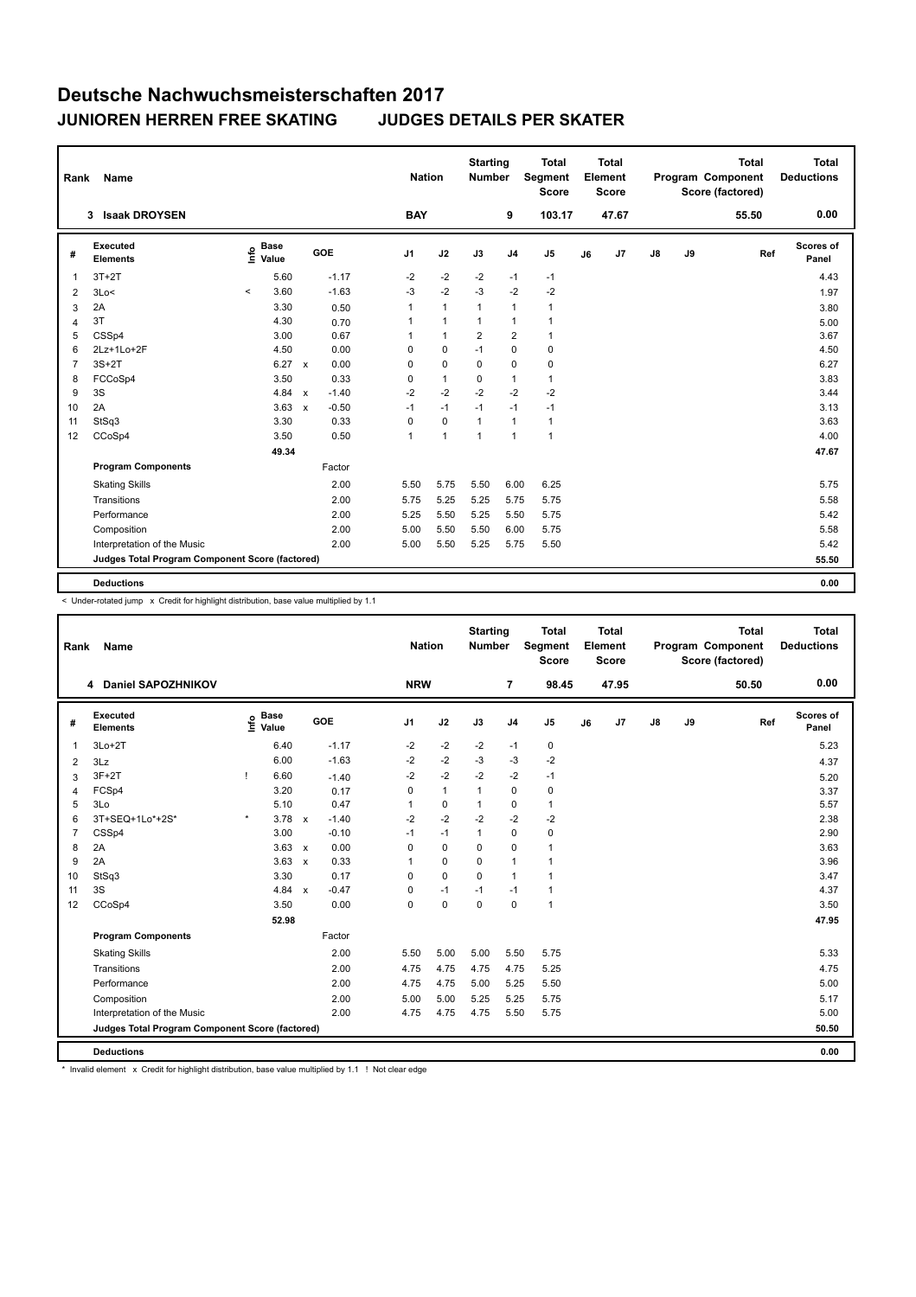| Rank           | Name                                            |                                             |               |              |         |                | <b>Nation</b> | <b>Starting</b><br><b>Number</b> |                | <b>Total</b><br>Segment<br><b>Score</b> |    | <b>Total</b><br>Element<br><b>Score</b> |               |    | <b>Total</b><br>Program Component<br>Score (factored) | <b>Total</b><br><b>Deductions</b> |
|----------------|-------------------------------------------------|---------------------------------------------|---------------|--------------|---------|----------------|---------------|----------------------------------|----------------|-----------------------------------------|----|-----------------------------------------|---------------|----|-------------------------------------------------------|-----------------------------------|
|                | <b>Isaak DROYSEN</b><br>3                       |                                             |               |              |         | <b>BAY</b>     |               |                                  | 9              | 103.17                                  |    | 47.67                                   |               |    | 55.50                                                 | 0.00                              |
| #              | Executed<br><b>Elements</b>                     | <b>Base</b><br>e <sup>Base</sup><br>⊆ Value |               |              | GOE     | J <sub>1</sub> | J2            | J3                               | J <sub>4</sub> | J5                                      | J6 | J7                                      | $\mathsf{J}8$ | J9 | Ref                                                   | <b>Scores of</b><br>Panel         |
| $\mathbf{1}$   | $3T+2T$                                         |                                             | 5.60          |              | $-1.17$ | $-2$           | $-2$          | $-2$                             | $-1$           | $-1$                                    |    |                                         |               |    |                                                       | 4.43                              |
| 2              | 3Lo<                                            | $\prec$                                     | 3.60          |              | $-1.63$ | $-3$           | $-2$          | $-3$                             | $-2$           | $-2$                                    |    |                                         |               |    |                                                       | 1.97                              |
| 3              | 2A                                              |                                             | 3.30          |              | 0.50    | 1              | $\mathbf{1}$  | $\mathbf{1}$                     | $\mathbf{1}$   | $\mathbf{1}$                            |    |                                         |               |    |                                                       | 3.80                              |
| 4              | 3T                                              |                                             | 4.30          |              | 0.70    | 1              | $\mathbf{1}$  | $\mathbf{1}$                     | $\mathbf{1}$   | $\mathbf{1}$                            |    |                                         |               |    |                                                       | 5.00                              |
| 5              | CSSp4                                           |                                             | 3.00          |              | 0.67    |                | $\mathbf{1}$  | 2                                | $\overline{2}$ | $\mathbf{1}$                            |    |                                         |               |    |                                                       | 3.67                              |
| 6              | 2Lz+1Lo+2F                                      |                                             | 4.50          |              | 0.00    | 0              | 0             | $-1$                             | $\mathbf 0$    | 0                                       |    |                                         |               |    |                                                       | 4.50                              |
| $\overline{7}$ | $3S+2T$                                         |                                             | $6.27 \times$ |              | 0.00    | $\Omega$       | $\mathbf 0$   | $\mathbf 0$                      | $\mathbf 0$    | 0                                       |    |                                         |               |    |                                                       | 6.27                              |
| 8              | FCCoSp4                                         |                                             | 3.50          |              | 0.33    | $\Omega$       | $\mathbf{1}$  | $\Omega$                         | $\mathbf{1}$   | $\mathbf{1}$                            |    |                                         |               |    |                                                       | 3.83                              |
| 9              | 3S                                              |                                             | 4.84 $\times$ |              | $-1.40$ | $-2$           | $-2$          | $-2$                             | $-2$           | $-2$                                    |    |                                         |               |    |                                                       | 3.44                              |
| 10             | 2A                                              |                                             | 3.63          | $\mathsf{x}$ | $-0.50$ | $-1$           | $-1$          | $-1$                             | $-1$           | $-1$                                    |    |                                         |               |    |                                                       | 3.13                              |
| 11             | StSq3                                           |                                             | 3.30          |              | 0.33    | $\mathbf 0$    | $\mathbf 0$   | $\mathbf{1}$                     | $\mathbf{1}$   | $\mathbf{1}$                            |    |                                         |               |    |                                                       | 3.63                              |
| 12             | CCoSp4                                          |                                             | 3.50          |              | 0.50    | 1              | $\mathbf{1}$  | 1                                | $\mathbf{1}$   | $\mathbf{1}$                            |    |                                         |               |    |                                                       | 4.00                              |
|                |                                                 |                                             | 49.34         |              |         |                |               |                                  |                |                                         |    |                                         |               |    |                                                       | 47.67                             |
|                | <b>Program Components</b>                       |                                             |               |              | Factor  |                |               |                                  |                |                                         |    |                                         |               |    |                                                       |                                   |
|                | <b>Skating Skills</b>                           |                                             |               |              | 2.00    | 5.50           | 5.75          | 5.50                             | 6.00           | 6.25                                    |    |                                         |               |    |                                                       | 5.75                              |
|                | Transitions                                     |                                             |               |              | 2.00    | 5.75           | 5.25          | 5.25                             | 5.75           | 5.75                                    |    |                                         |               |    |                                                       | 5.58                              |
|                | Performance                                     |                                             |               |              | 2.00    | 5.25           | 5.50          | 5.25                             | 5.50           | 5.75                                    |    |                                         |               |    |                                                       | 5.42                              |
|                | Composition                                     |                                             |               |              | 2.00    | 5.00           | 5.50          | 5.50                             | 6.00           | 5.75                                    |    |                                         |               |    |                                                       | 5.58                              |
|                | Interpretation of the Music                     |                                             |               |              | 2.00    | 5.00           | 5.50          | 5.25                             | 5.75           | 5.50                                    |    |                                         |               |    |                                                       | 5.42                              |
|                | Judges Total Program Component Score (factored) |                                             |               |              |         |                |               |                                  |                |                                         |    |                                         |               |    |                                                       | 55.50                             |
|                | <b>Deductions</b>                               |                                             |               |              |         |                |               |                                  |                |                                         |    |                                         |               |    |                                                       | 0.00                              |
|                |                                                 |                                             |               |              |         |                |               |                                  |                |                                         |    |                                         |               |    |                                                       |                                   |

< Under-rotated jump x Credit for highlight distribution, base value multiplied by 1.1

| Rank           | Name                                            |         |                                             |              |         |                | <b>Nation</b> |              | <b>Starting</b><br><b>Number</b> |                | <b>Total</b><br>Segment<br><b>Score</b> |    | <b>Total</b><br>Element<br><b>Score</b> |               |    | <b>Total</b><br>Program Component<br>Score (factored) | <b>Total</b><br><b>Deductions</b> |
|----------------|-------------------------------------------------|---------|---------------------------------------------|--------------|---------|----------------|---------------|--------------|----------------------------------|----------------|-----------------------------------------|----|-----------------------------------------|---------------|----|-------------------------------------------------------|-----------------------------------|
|                | <b>Daniel SAPOZHNIKOV</b><br>4                  |         |                                             |              |         |                | <b>NRW</b>    |              |                                  | $\overline{7}$ | 98.45                                   |    | 47.95                                   |               |    | 50.50                                                 | 0.00                              |
| #              | Executed<br><b>Elements</b>                     |         | <b>Base</b><br>e <sup>Base</sup><br>⊆ Value |              | GOE     | J <sub>1</sub> |               | J2           | J3                               | J <sub>4</sub> | J <sub>5</sub>                          | J6 | J7                                      | $\mathsf{J}8$ | J9 | Ref                                                   | <b>Scores of</b><br>Panel         |
| $\mathbf{1}$   | $3Lo+2T$                                        |         | 6.40                                        |              | $-1.17$ | $-2$           |               | $-2$         | $-2$                             | $-1$           | $\pmb{0}$                               |    |                                         |               |    |                                                       | 5.23                              |
| 2              | 3Lz                                             |         | 6.00                                        |              | $-1.63$ | $-2$           |               | $-2$         | $-3$                             | $-3$           | $-2$                                    |    |                                         |               |    |                                                       | 4.37                              |
| 3              | $3F+2T$                                         |         | 6.60                                        |              | $-1.40$ | $-2$           |               | $-2$         | $-2$                             | $-2$           | $-1$                                    |    |                                         |               |    |                                                       | 5.20                              |
| $\overline{4}$ | FCSp4                                           |         | 3.20                                        |              | 0.17    | 0              |               | $\mathbf{1}$ | $\mathbf{1}$                     | $\mathbf 0$    | 0                                       |    |                                         |               |    |                                                       | 3.37                              |
| 5              | 3Lo                                             |         | 5.10                                        |              | 0.47    | $\overline{1}$ |               | 0            | $\mathbf{1}$                     | 0              | $\mathbf{1}$                            |    |                                         |               |    |                                                       | 5.57                              |
| 6              | 3T+SEQ+1Lo*+2S*                                 | $\star$ | 3.78                                        | $\mathsf{x}$ | $-1.40$ | $-2$           |               | $-2$         | $-2$                             | $-2$           | $-2$                                    |    |                                         |               |    |                                                       | 2.38                              |
| $\overline{7}$ | CSSp4                                           |         | 3.00                                        |              | $-0.10$ | $-1$           |               | $-1$         | $\mathbf{1}$                     | $\mathbf 0$    | $\pmb{0}$                               |    |                                         |               |    |                                                       | 2.90                              |
| 8              | 2A                                              |         | 3.63                                        | $\mathsf{x}$ | 0.00    | 0              |               | 0            | 0                                | 0              | $\mathbf{1}$                            |    |                                         |               |    |                                                       | 3.63                              |
| 9              | 2A                                              |         | 3.63                                        | $\mathsf{x}$ | 0.33    | 1              |               | 0            | $\Omega$                         | $\mathbf{1}$   | $\mathbf{1}$                            |    |                                         |               |    |                                                       | 3.96                              |
| 10             | StSq3                                           |         | 3.30                                        |              | 0.17    | 0              |               | $\mathbf 0$  | 0                                | $\overline{1}$ | $\mathbf{1}$                            |    |                                         |               |    |                                                       | 3.47                              |
| 11             | 3S                                              |         | 4.84                                        | $\mathsf{x}$ | $-0.47$ | 0              |               | $-1$         | $-1$                             | $-1$           | $\mathbf{1}$                            |    |                                         |               |    |                                                       | 4.37                              |
| 12             | CCoSp4                                          |         | 3.50                                        |              | 0.00    | $\Omega$       |               | $\mathbf 0$  | $\Omega$                         | 0              | $\mathbf{1}$                            |    |                                         |               |    |                                                       | 3.50                              |
|                |                                                 |         | 52.98                                       |              |         |                |               |              |                                  |                |                                         |    |                                         |               |    |                                                       | 47.95                             |
|                | <b>Program Components</b>                       |         |                                             |              | Factor  |                |               |              |                                  |                |                                         |    |                                         |               |    |                                                       |                                   |
|                | <b>Skating Skills</b>                           |         |                                             |              | 2.00    | 5.50           |               | 5.00         | 5.00                             | 5.50           | 5.75                                    |    |                                         |               |    |                                                       | 5.33                              |
|                | Transitions                                     |         |                                             |              | 2.00    | 4.75           |               | 4.75         | 4.75                             | 4.75           | 5.25                                    |    |                                         |               |    |                                                       | 4.75                              |
|                | Performance                                     |         |                                             |              | 2.00    | 4.75           |               | 4.75         | 5.00                             | 5.25           | 5.50                                    |    |                                         |               |    |                                                       | 5.00                              |
|                | Composition                                     |         |                                             |              | 2.00    | 5.00           |               | 5.00         | 5.25                             | 5.25           | 5.75                                    |    |                                         |               |    |                                                       | 5.17                              |
|                | Interpretation of the Music                     |         |                                             |              | 2.00    | 4.75           |               | 4.75         | 4.75                             | 5.50           | 5.75                                    |    |                                         |               |    |                                                       | 5.00                              |
|                | Judges Total Program Component Score (factored) |         |                                             |              |         |                |               |              |                                  |                |                                         |    |                                         |               |    |                                                       | 50.50                             |
|                | <b>Deductions</b>                               |         |                                             |              |         |                |               |              |                                  |                |                                         |    |                                         |               |    |                                                       | 0.00                              |

\* Invalid element x Credit for highlight distribution, base value multiplied by 1.1 ! Not clear edge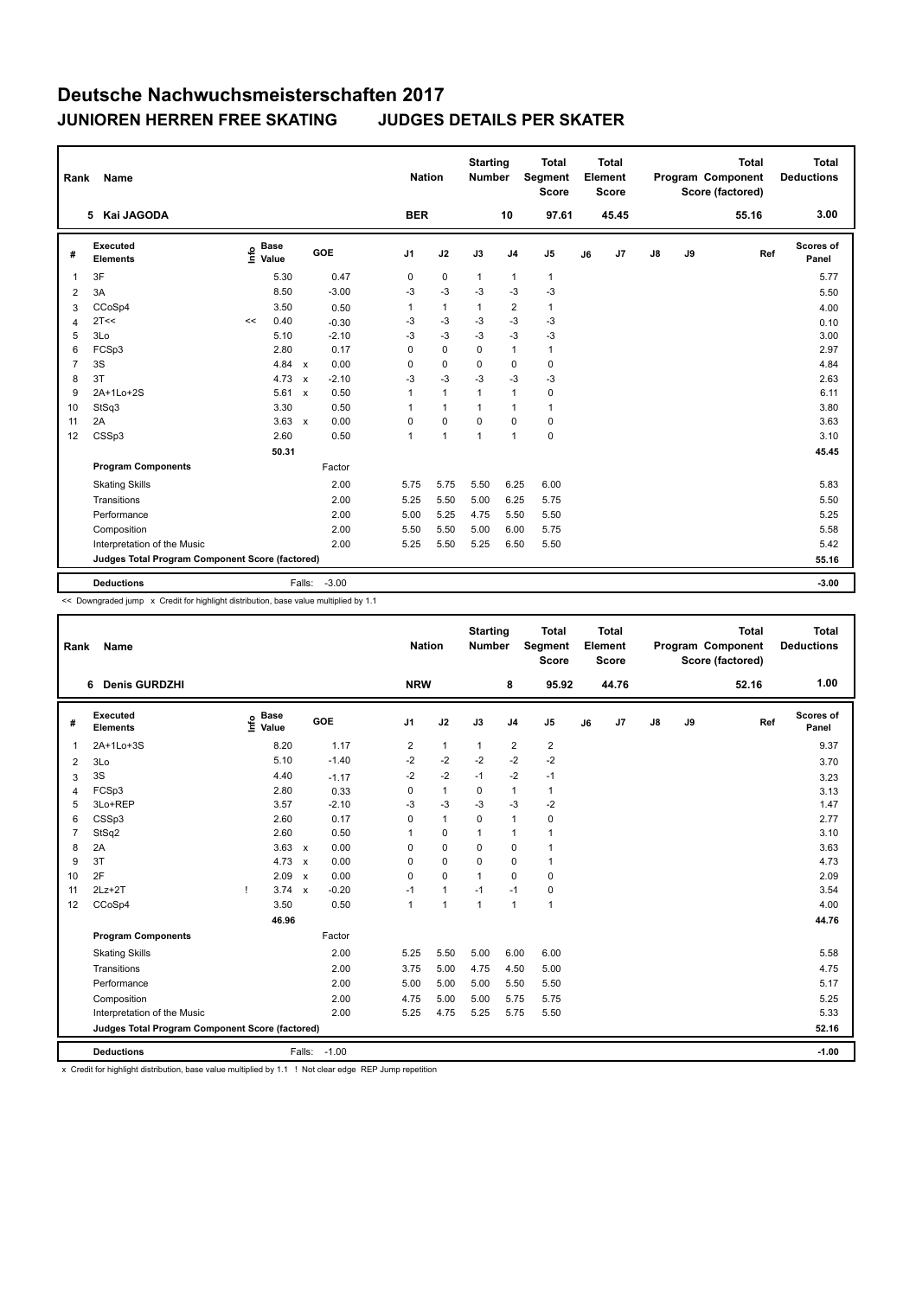| <b>BER</b><br>5 Kai JAGODA<br>97.61<br>45.45<br>10<br>55.16                                                                                                                                    | 3.00               |
|------------------------------------------------------------------------------------------------------------------------------------------------------------------------------------------------|--------------------|
|                                                                                                                                                                                                |                    |
| <b>Executed</b><br><b>Base</b><br>e <sup>Base</sup><br>⊆ Value<br>GOE<br>J9<br>J2<br>J3<br>J8<br>J <sub>1</sub><br>J <sub>4</sub><br>J <sub>5</sub><br>J7<br>Ref<br>#<br>J6<br><b>Elements</b> | Scores of<br>Panel |
| 3F<br>5.30<br>0.47<br>0<br>0<br>$\mathbf{1}$<br>$\mathbf{1}$<br>$\mathbf{1}$<br>$\overline{1}$                                                                                                 | 5.77               |
| $-3$<br>8.50<br>$-3.00$<br>$-3$<br>$-3$<br>$-3$<br>$-3$<br>3A<br>$\overline{2}$                                                                                                                | 5.50               |
| CCoSp4<br>3.50<br>$\mathbf{1}$<br>2<br>$\mathbf{1}$<br>0.50<br>1<br>$\mathbf{1}$<br>3                                                                                                          | 4.00               |
| 2T<<<br>$-3$<br>$-3$<br>$-3$<br>0.40<br>-3<br>-3<br>$-0.30$<br><<<br>$\overline{4}$                                                                                                            | 0.10               |
| 3Lo<br>$-3$<br>$-3$<br>$-3$<br>$-3$<br>5<br>$-2.10$<br>$-3$<br>5.10                                                                                                                            | 3.00               |
| FCSp3<br>0.17<br>$\mathbf 0$<br>$\overline{1}$<br>6<br>2.80<br>$\Omega$<br>$\Omega$<br>$\mathbf{1}$                                                                                            | 2.97               |
| $\overline{7}$<br>3S<br>4.84<br>0.00<br>$\pmb{0}$<br>0<br>0<br>0<br>0<br>$\mathsf{x}$                                                                                                          | 4.84               |
| $-3$<br>3T<br>$-2.10$<br>$-3$<br>$-3$<br>$-3$<br>$-3$<br>8<br>4.73<br>$\mathbf{x}$                                                                                                             | 2.63               |
| 5.61<br>0.50<br>$\mathbf{1}$<br>$\mathbf{1}$<br>$\mathbf{1}$<br>9<br>2A+1Lo+2S<br>$\overline{1}$<br>0<br>$\mathsf{x}$                                                                          | 6.11               |
| 3.30<br>0.50<br>StSq3<br>$\mathbf{1}$<br>$\overline{1}$<br>$\mathbf{1}$<br>10<br>1<br>1                                                                                                        | 3.80               |
| 2A<br>3.63<br>0.00<br>$\mathbf 0$<br>$\mathbf 0$<br>0<br>0<br>$\mathbf 0$<br>11<br>$\mathsf{x}$                                                                                                | 3.63               |
| 0<br>CSSp3<br>2.60<br>0.50<br>$\mathbf{1}$<br>$\overline{1}$<br>$\overline{1}$<br>1<br>12                                                                                                      | 3.10               |
| 50.31                                                                                                                                                                                          | 45.45              |
| <b>Program Components</b><br>Factor                                                                                                                                                            |                    |
| 6.25<br><b>Skating Skills</b><br>2.00<br>5.75<br>5.75<br>5.50<br>6.00                                                                                                                          | 5.83               |
| Transitions<br>2.00<br>5.25<br>5.50<br>5.00<br>6.25<br>5.75                                                                                                                                    | 5.50               |
| Performance<br>2.00<br>5.00<br>5.25<br>4.75<br>5.50<br>5.50                                                                                                                                    | 5.25               |
| 5.75<br>Composition<br>2.00<br>5.50<br>5.50<br>5.00<br>6.00                                                                                                                                    | 5.58               |
| Interpretation of the Music<br>2.00<br>5.50<br>5.25<br>6.50<br>5.50<br>5.25                                                                                                                    | 5.42               |
| Judges Total Program Component Score (factored)                                                                                                                                                | 55.16              |
| $-3.00$<br><b>Deductions</b><br>Falls:                                                                                                                                                         | $-3.00$            |

<< Downgraded jump x Credit for highlight distribution, base value multiplied by 1.1

| Rank           | Name                                            |                                             |                           |         |                | <b>Nation</b> | <b>Starting</b><br><b>Number</b> |                | <b>Total</b><br>Segment<br><b>Score</b> |    | <b>Total</b><br>Element<br><b>Score</b> |    |    | Total<br>Program Component<br>Score (factored) | <b>Total</b><br><b>Deductions</b> |
|----------------|-------------------------------------------------|---------------------------------------------|---------------------------|---------|----------------|---------------|----------------------------------|----------------|-----------------------------------------|----|-----------------------------------------|----|----|------------------------------------------------|-----------------------------------|
|                | <b>Denis GURDZHI</b><br>6                       |                                             |                           |         | <b>NRW</b>     |               |                                  | 8              | 95.92                                   |    | 44.76                                   |    |    | 52.16                                          | 1.00                              |
| #              | Executed<br><b>Elements</b>                     | <b>Base</b><br>e <sup>Base</sup><br>⊆ Value |                           | GOE     | J1             | J2            | J3                               | J <sub>4</sub> | J <sub>5</sub>                          | J6 | J7                                      | J8 | J9 | Ref                                            | Scores of<br>Panel                |
| -1             | 2A+1Lo+3S                                       | 8.20                                        |                           | 1.17    | $\overline{2}$ | $\mathbf{1}$  | $\mathbf{1}$                     | $\overline{2}$ | $\overline{2}$                          |    |                                         |    |    |                                                | 9.37                              |
| 2              | 3Lo                                             | 5.10                                        |                           | $-1.40$ | $-2$           | $-2$          | $-2$                             | $-2$           | $-2$                                    |    |                                         |    |    |                                                | 3.70                              |
| 3              | 3S                                              | 4.40                                        |                           | $-1.17$ | $-2$           | $-2$          | $-1$                             | $-2$           | $-1$                                    |    |                                         |    |    |                                                | 3.23                              |
| $\overline{4}$ | FCSp3                                           | 2.80                                        |                           | 0.33    | 0              | $\mathbf{1}$  | 0                                | $\mathbf{1}$   | $\mathbf{1}$                            |    |                                         |    |    |                                                | 3.13                              |
| 5              | 3Lo+REP                                         | 3.57                                        |                           | $-2.10$ | $-3$           | $-3$          | $-3$                             | $-3$           | $-2$                                    |    |                                         |    |    |                                                | 1.47                              |
| 6              | CSSp3                                           | 2.60                                        |                           | 0.17    | 0              | $\mathbf{1}$  | 0                                | $\overline{1}$ | $\pmb{0}$                               |    |                                         |    |    |                                                | 2.77                              |
| $\overline{7}$ | StSq2                                           | 2.60                                        |                           | 0.50    | 1              | $\mathbf 0$   | 1                                | $\overline{1}$ | 1                                       |    |                                         |    |    |                                                | 3.10                              |
| 8              | 2A                                              | 3.63                                        | $\mathsf{x}$              | 0.00    | 0              | $\mathbf 0$   | 0                                | $\mathbf 0$    | $\mathbf{1}$                            |    |                                         |    |    |                                                | 3.63                              |
| 9              | 3T                                              | 4.73                                        | $\mathsf{x}$              | 0.00    | 0              | 0             | $\Omega$                         | $\mathbf 0$    | $\mathbf{1}$                            |    |                                         |    |    |                                                | 4.73                              |
| 10             | 2F                                              | 2.09                                        | $\boldsymbol{\mathsf{x}}$ | 0.00    | 0              | $\mathbf 0$   | 1                                | $\mathbf 0$    | 0                                       |    |                                         |    |    |                                                | 2.09                              |
| 11             | $2Lz+2T$                                        | 3.74<br>Ţ                                   | $\mathsf{x}$              | $-0.20$ | $-1$           | $\mathbf{1}$  | $-1$                             | $-1$           | 0                                       |    |                                         |    |    |                                                | 3.54                              |
| 12             | CCoSp4                                          | 3.50                                        |                           | 0.50    | $\overline{1}$ | $\mathbf{1}$  | $\mathbf{1}$                     | $\overline{1}$ | $\mathbf{1}$                            |    |                                         |    |    |                                                | 4.00                              |
|                |                                                 | 46.96                                       |                           |         |                |               |                                  |                |                                         |    |                                         |    |    |                                                | 44.76                             |
|                | <b>Program Components</b>                       |                                             |                           | Factor  |                |               |                                  |                |                                         |    |                                         |    |    |                                                |                                   |
|                | <b>Skating Skills</b>                           |                                             |                           | 2.00    | 5.25           | 5.50          | 5.00                             | 6.00           | 6.00                                    |    |                                         |    |    |                                                | 5.58                              |
|                | Transitions                                     |                                             |                           | 2.00    | 3.75           | 5.00          | 4.75                             | 4.50           | 5.00                                    |    |                                         |    |    |                                                | 4.75                              |
|                | Performance                                     |                                             |                           | 2.00    | 5.00           | 5.00          | 5.00                             | 5.50           | 5.50                                    |    |                                         |    |    |                                                | 5.17                              |
|                | Composition                                     |                                             |                           | 2.00    | 4.75           | 5.00          | 5.00                             | 5.75           | 5.75                                    |    |                                         |    |    |                                                | 5.25                              |
|                | Interpretation of the Music                     |                                             |                           | 2.00    | 5.25           | 4.75          | 5.25                             | 5.75           | 5.50                                    |    |                                         |    |    |                                                | 5.33                              |
|                | Judges Total Program Component Score (factored) |                                             |                           |         |                |               |                                  |                |                                         |    |                                         |    |    |                                                | 52.16                             |
|                | <b>Deductions</b>                               |                                             | Falls: -1.00              |         |                |               |                                  |                |                                         |    |                                         |    |    |                                                | $-1.00$                           |

x Credit for highlight distribution, base value multiplied by 1.1 ! Not clear edge REP Jump repetition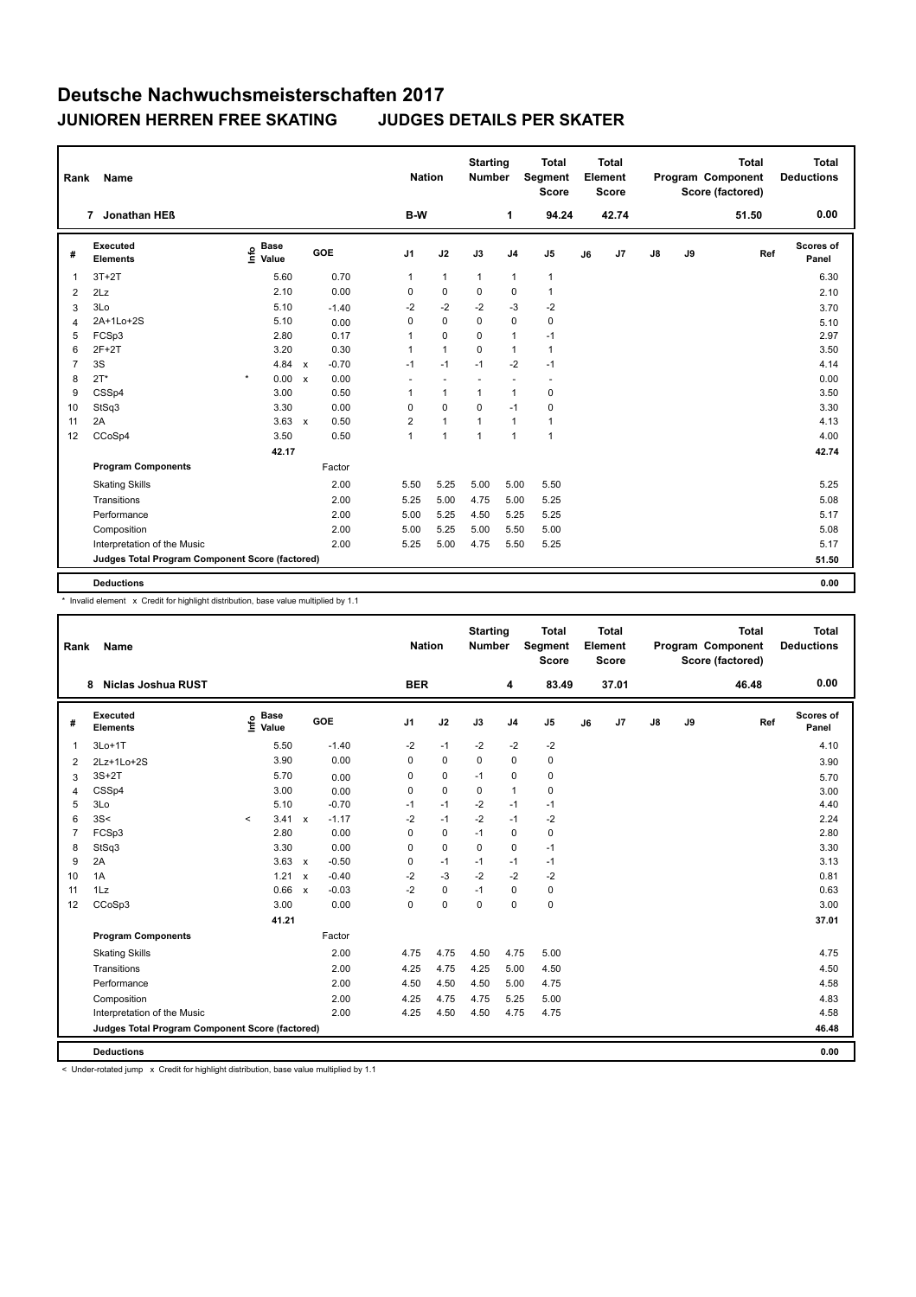| B-W<br>42.74<br>7 Jonathan HEß<br>1<br>94.24<br>51.50<br>Scores of<br><b>Executed</b><br><b>Base</b><br>e Base<br>⊆ Value<br><b>GOE</b><br>J <sub>1</sub><br>J2<br>J3<br>$\mathsf{J}8$<br>J9<br>J <sub>4</sub><br>J <sub>5</sub><br>J7<br>Ref<br>#<br>J6<br><b>Elements</b><br>Panel<br>5.60<br>0.70<br>$3T+2T$<br>$\mathbf{1}$<br>$\mathbf{1}$<br>$\mathbf{1}$<br>$\mathbf{1}$<br>$\mathbf{1}$<br>1<br>$\mathbf 0$<br>2.10<br>0.00<br>0<br>0<br>0<br>$\mathbf{1}$<br>$\overline{2}$<br>2Lz<br>$-2$<br>$-2$<br>3Lo<br>5.10<br>$-2$<br>$-3$<br>$-2$<br>$-1.40$<br>3<br>2A+1Lo+2S<br>5.10<br>0<br>$\mathbf 0$<br>$\mathbf 0$<br>$\mathbf 0$<br>$\pmb{0}$<br>0.00<br>$\overline{4}$<br>0.17<br>5<br>FCSp3<br>2.80<br>$\mathbf 0$<br>$\mathbf{1}$<br>0<br>$\mathbf{1}$<br>$-1$ | <b>Total</b><br><b>Deductions</b> |
|----------------------------------------------------------------------------------------------------------------------------------------------------------------------------------------------------------------------------------------------------------------------------------------------------------------------------------------------------------------------------------------------------------------------------------------------------------------------------------------------------------------------------------------------------------------------------------------------------------------------------------------------------------------------------------------------------------------------------------------------------------------------------|-----------------------------------|
|                                                                                                                                                                                                                                                                                                                                                                                                                                                                                                                                                                                                                                                                                                                                                                            | 0.00                              |
|                                                                                                                                                                                                                                                                                                                                                                                                                                                                                                                                                                                                                                                                                                                                                                            |                                   |
|                                                                                                                                                                                                                                                                                                                                                                                                                                                                                                                                                                                                                                                                                                                                                                            | 6.30                              |
|                                                                                                                                                                                                                                                                                                                                                                                                                                                                                                                                                                                                                                                                                                                                                                            | 2.10                              |
|                                                                                                                                                                                                                                                                                                                                                                                                                                                                                                                                                                                                                                                                                                                                                                            | 3.70                              |
|                                                                                                                                                                                                                                                                                                                                                                                                                                                                                                                                                                                                                                                                                                                                                                            | 5.10                              |
|                                                                                                                                                                                                                                                                                                                                                                                                                                                                                                                                                                                                                                                                                                                                                                            | 2.97                              |
| $2F+2T$<br>3.20<br>0.30<br>$\mathbf{1}$<br>6<br>$\mathbf{1}$<br>$\Omega$<br>$\mathbf{1}$<br>$\mathbf{1}$                                                                                                                                                                                                                                                                                                                                                                                                                                                                                                                                                                                                                                                                   | 3.50                              |
| 3S<br>$-2$<br>$\overline{7}$<br>4.84<br>$-0.70$<br>$-1$<br>$-1$<br>$-1$<br>$-1$<br>$\mathsf{x}$                                                                                                                                                                                                                                                                                                                                                                                                                                                                                                                                                                                                                                                                            | 4.14                              |
| $2T^*$<br>$\star$<br>0.00 x<br>0.00<br>8<br>$\sim$<br>٠<br>$\overline{\phantom{a}}$<br>$\overline{a}$<br>$\overline{\phantom{a}}$                                                                                                                                                                                                                                                                                                                                                                                                                                                                                                                                                                                                                                          | 0.00                              |
| CSSp4<br>3.00<br>0.50<br>9<br>$\mathbf{1}$<br>$\pmb{0}$<br>1<br>1<br>$\mathbf{1}$                                                                                                                                                                                                                                                                                                                                                                                                                                                                                                                                                                                                                                                                                          | 3.50                              |
| $\mathbf 0$<br>StSq3<br>3.30<br>0.00<br>0<br>$\Omega$<br>$-1$<br>0<br>10                                                                                                                                                                                                                                                                                                                                                                                                                                                                                                                                                                                                                                                                                                   | 3.30                              |
| 2A<br>0.50<br>$\overline{2}$<br>3.63<br>$\mathbf{1}$<br>$\overline{1}$<br>$\mathbf{1}$<br>$\mathbf{1}$<br>11<br>$\mathsf{x}$                                                                                                                                                                                                                                                                                                                                                                                                                                                                                                                                                                                                                                               | 4.13                              |
| CCoSp4<br>0.50<br>$\mathbf{1}$<br>12<br>3.50<br>$\mathbf{1}$<br>$\overline{1}$<br>$\mathbf{1}$<br>$\mathbf{1}$                                                                                                                                                                                                                                                                                                                                                                                                                                                                                                                                                                                                                                                             | 4.00                              |
| 42.17                                                                                                                                                                                                                                                                                                                                                                                                                                                                                                                                                                                                                                                                                                                                                                      | 42.74                             |
| <b>Program Components</b><br>Factor                                                                                                                                                                                                                                                                                                                                                                                                                                                                                                                                                                                                                                                                                                                                        |                                   |
| 2.00<br>5.25<br>5.00<br>5.00<br><b>Skating Skills</b><br>5.50<br>5.50                                                                                                                                                                                                                                                                                                                                                                                                                                                                                                                                                                                                                                                                                                      | 5.25                              |
| 5.00<br>5.25<br>2.00<br>5.25<br>4.75<br>5.00<br>Transitions                                                                                                                                                                                                                                                                                                                                                                                                                                                                                                                                                                                                                                                                                                                | 5.08                              |
| Performance<br>2.00<br>5.25<br>4.50<br>5.25<br>5.25<br>5.00                                                                                                                                                                                                                                                                                                                                                                                                                                                                                                                                                                                                                                                                                                                | 5.17                              |
| Composition<br>2.00<br>5.25<br>5.50<br>5.00<br>5.00<br>5.00                                                                                                                                                                                                                                                                                                                                                                                                                                                                                                                                                                                                                                                                                                                | 5.08                              |
| Interpretation of the Music<br>2.00<br>5.00<br>5.25<br>5.25<br>4.75<br>5.50                                                                                                                                                                                                                                                                                                                                                                                                                                                                                                                                                                                                                                                                                                | 5.17                              |
| Judges Total Program Component Score (factored)                                                                                                                                                                                                                                                                                                                                                                                                                                                                                                                                                                                                                                                                                                                            | 51.50                             |
| <b>Deductions</b>                                                                                                                                                                                                                                                                                                                                                                                                                                                                                                                                                                                                                                                                                                                                                          | 0.00                              |

\* Invalid element x Credit for highlight distribution, base value multiplied by 1.1

| Name                           |                                             |                           |                                                                                                       |                                                                   |             |                                     |                | <b>Total</b><br><b>Score</b>             |                                                         | <b>Total</b> |                         |    | <b>Total</b> | <b>Total</b><br><b>Deductions</b>            |
|--------------------------------|---------------------------------------------|---------------------------|-------------------------------------------------------------------------------------------------------|-------------------------------------------------------------------|-------------|-------------------------------------|----------------|------------------------------------------|---------------------------------------------------------|--------------|-------------------------|----|--------------|----------------------------------------------|
| 8<br><b>Niclas Joshua RUST</b> |                                             |                           |                                                                                                       |                                                                   |             |                                     | 4              | 83.49                                    |                                                         | 37.01        |                         |    | 46.48        | 0.00                                         |
| Executed<br><b>Elements</b>    | <b>Base</b><br>e <sup>Base</sup><br>⊆ Value |                           |                                                                                                       | J1                                                                | J2          | J3                                  | J <sub>4</sub> | J <sub>5</sub>                           | J6                                                      | J7           | J8                      | J9 |              | <b>Scores of</b><br>Panel                    |
| $3Lo+1T$                       |                                             |                           | $-1.40$                                                                                               | $-2$                                                              | $-1$        | $-2$                                | $-2$           | $-2$                                     |                                                         |              |                         |    |              | 4.10                                         |
| 2Lz+1Lo+2S                     |                                             |                           | 0.00                                                                                                  | 0                                                                 | $\mathbf 0$ | 0                                   | 0              | $\mathbf 0$                              |                                                         |              |                         |    |              | 3.90                                         |
| $3S+2T$                        |                                             |                           | 0.00                                                                                                  | 0                                                                 | $\mathbf 0$ | $-1$                                | 0              | 0                                        |                                                         |              |                         |    |              | 5.70                                         |
| CSSp4                          |                                             |                           | 0.00                                                                                                  | 0                                                                 | $\mathbf 0$ | 0                                   | 1              | $\mathbf 0$                              |                                                         |              |                         |    |              | 3.00                                         |
| 3Lo                            |                                             |                           | $-0.70$                                                                                               | $-1$                                                              | $-1$        | $-2$                                | $-1$           | $-1$                                     |                                                         |              |                         |    |              | 4.40                                         |
| 3S<                            | $\prec$                                     | $\mathsf{x}$              | $-1.17$                                                                                               | $-2$                                                              | $-1$        | $-2$                                | $-1$           | $-2$                                     |                                                         |              |                         |    |              | 2.24                                         |
| FCSp3                          |                                             |                           | 0.00                                                                                                  | 0                                                                 | $\mathbf 0$ | $-1$                                | 0              | 0                                        |                                                         |              |                         |    |              | 2.80                                         |
| StSq3                          |                                             |                           | 0.00                                                                                                  | 0                                                                 | $\mathbf 0$ | $\Omega$                            | $\Omega$       | $-1$                                     |                                                         |              |                         |    |              | 3.30                                         |
| 2A                             |                                             | $\mathbf{x}$              | $-0.50$                                                                                               | 0                                                                 | $-1$        | $-1$                                | $-1$           | $-1$                                     |                                                         |              |                         |    |              | 3.13                                         |
| 1A                             |                                             | $\boldsymbol{\mathsf{x}}$ |                                                                                                       |                                                                   |             |                                     |                |                                          |                                                         |              |                         |    |              | 0.81                                         |
| 1Lz                            |                                             | $\mathsf{x}$              | $-0.03$                                                                                               | $-2$                                                              | $\pmb{0}$   | $-1$                                | 0              | 0                                        |                                                         |              |                         |    |              | 0.63                                         |
| CCoSp3                         |                                             |                           | 0.00                                                                                                  | 0                                                                 | $\mathbf 0$ | 0                                   | $\Omega$       | $\mathbf 0$                              |                                                         |              |                         |    |              | 3.00                                         |
|                                |                                             |                           |                                                                                                       |                                                                   |             |                                     |                |                                          |                                                         |              |                         |    |              | 37.01                                        |
| <b>Program Components</b>      |                                             |                           | Factor                                                                                                |                                                                   |             |                                     |                |                                          |                                                         |              |                         |    |              |                                              |
| <b>Skating Skills</b>          |                                             |                           | 2.00                                                                                                  | 4.75                                                              | 4.75        | 4.50                                |                | 5.00                                     |                                                         |              |                         |    |              | 4.75                                         |
| Transitions                    |                                             |                           | 2.00                                                                                                  | 4.25                                                              | 4.75        | 4.25                                |                | 4.50                                     |                                                         |              |                         |    |              | 4.50                                         |
| Performance                    |                                             |                           | 2.00                                                                                                  | 4.50                                                              | 4.50        | 4.50                                |                | 4.75                                     |                                                         |              |                         |    |              | 4.58                                         |
| Composition                    |                                             |                           | 2.00                                                                                                  | 4.25                                                              | 4.75        | 4.75                                |                | 5.00                                     |                                                         |              |                         |    |              | 4.83                                         |
| Interpretation of the Music    |                                             |                           | 2.00                                                                                                  | 4.25                                                              | 4.50        | 4.50                                |                | 4.75                                     |                                                         |              |                         |    |              | 4.58                                         |
|                                |                                             |                           |                                                                                                       |                                                                   |             |                                     |                |                                          |                                                         |              |                         |    |              | 46.48                                        |
|                                |                                             |                           |                                                                                                       |                                                                   |             |                                     |                |                                          |                                                         |              |                         |    |              | 0.00                                         |
|                                | Rank<br><b>Deductions</b>                   |                           | 5.50<br>3.90<br>5.70<br>3.00<br>5.10<br>3.41<br>2.80<br>3.30<br>3.63<br>1.21<br>0.66<br>3.00<br>41.21 | GOE<br>$-0.40$<br>Judges Total Program Component Score (factored) | $-2$        | <b>Nation</b><br><b>BER</b><br>$-3$ | $-2$           | <b>Starting</b><br><b>Number</b><br>$-2$ | Segment<br>$-2$<br>4.75<br>5.00<br>5.00<br>5.25<br>4.75 |              | Element<br><b>Score</b> |    |              | Program Component<br>Score (factored)<br>Ref |

< Under-rotated jump x Credit for highlight distribution, base value multiplied by 1.1